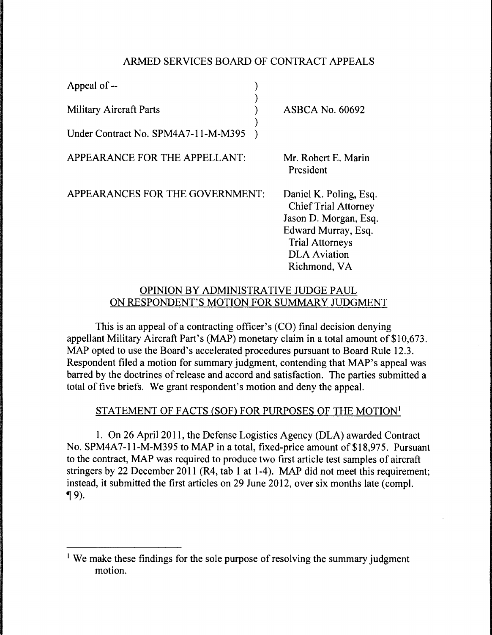# ARMED SERVICES BOARD OF CONTRACT APPEALS

| Appeal of --                        |                                                                                                                                                                        |
|-------------------------------------|------------------------------------------------------------------------------------------------------------------------------------------------------------------------|
| Military Aircraft Parts             | <b>ASBCA No. 60692</b>                                                                                                                                                 |
| Under Contract No. SPM4A7-11-M-M395 |                                                                                                                                                                        |
| APPEARANCE FOR THE APPELLANT:       | Mr. Robert E. Marin<br>President                                                                                                                                       |
| APPEARANCES FOR THE GOVERNMENT:     | Daniel K. Poling, Esq.<br><b>Chief Trial Attorney</b><br>Jason D. Morgan, Esq.<br>Edward Murray, Esq.<br><b>Trial Attorneys</b><br><b>DLA</b> Aviation<br>Richmond, VA |
|                                     |                                                                                                                                                                        |

### OPINION BY ADMINISTRATIVE JUDGE PAUL ON RESPONDENT'S MOTION FOR SUMMARY JUDGMENT

This is an appeal of a contracting officer's (CO) final decision denying appellant Military Aircraft Part's (MAP) monetary claim in a total amount of \$10,673. MAP opted to use the Board's accelerated procedures pursuant to Board Rule 12.3. Respondent filed a motion for summary judgment, contending that MAP's appeal was barred by the doctrines of release and accord and satisfaction. The parties submitted a total of five briefs. We grant respondent's motion and deny the appeal.

### STATEMENT OF FACTS (SOF) FOR PURPOSES OF THE MOTION<sup>1</sup>

1. On 26 April 2011, the Defense Logistics Agency (DLA) awarded Contract No. SPM4A7-11-M-M395 to MAP in a total, fixed-price amount of \$18,975. Pursuant to the contract, MAP was required to produce two first article test samples of aircraft stringers by 22 December 2011 (R4, tab 1 at 1-4 ). MAP did not meet this requirement; instead, it submitted the first articles on 29 June 2012, over six months late (compl.  $\P$ 9).

<sup>&</sup>lt;sup>1</sup> We make these findings for the sole purpose of resolving the summary judgment motion.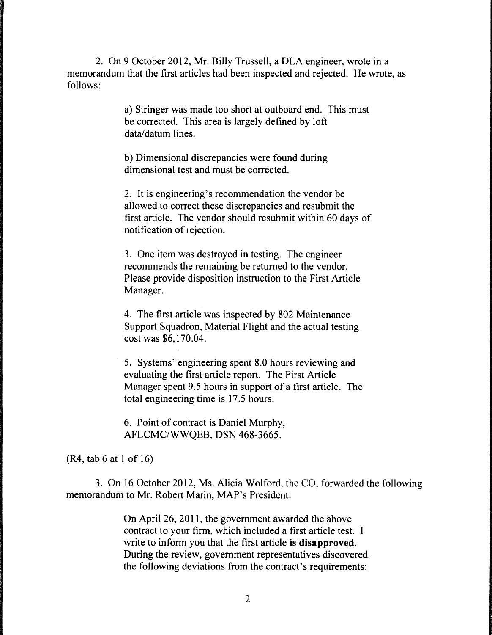2. On 9 October 2012, Mr. Billy Trussell, a DLA engineer, wrote in a memorandum that the first articles had been inspected and rejected. He wrote, as follows:

> a) Stringer was made too short at outboard end. This must be corrected. This area is largely defined by loft data/datum lines.

b) Dimensional discrepancies were found during dimensional test and must be corrected.

2. It is engineering's recommendation the vendor be allowed to correct these discrepancies and resubmit the first article. The vendor should resubmit within 60 days of notification of rejection.

3. One item was destroyed in testing. The engineer recommends the remaining be returned to the vendor. Please provide disposition instruction to the First Article Manager.

4. The first article was inspected by 802 Maintenance Support Squadron, Material Flight and the actual testing cost was \$6, 170.04.

5. Systems' engineering spent 8.0 hours reviewing and evaluating the first article report. The First Article Manager spent 9.5 hours in support of a first article. The total engineering time is 17 .5 hours.

6. Point of contract is Daniel Murphy, AFLCMC/WWQEB, DSN 468-3665.

(R4, tab 6 at 1 of 16)

3. On 16 October 2012, Ms. Alicia Wolford, the CO, forwarded the following memorandum to Mr. Robert Marin, MAP's President:

> On April 26, 2011, the government awarded the above contract to your firm, which included a first article test. I write to inform you that the first article is **disapproved.**  During the review, government representatives discovered. the following deviations from the contract's requirements: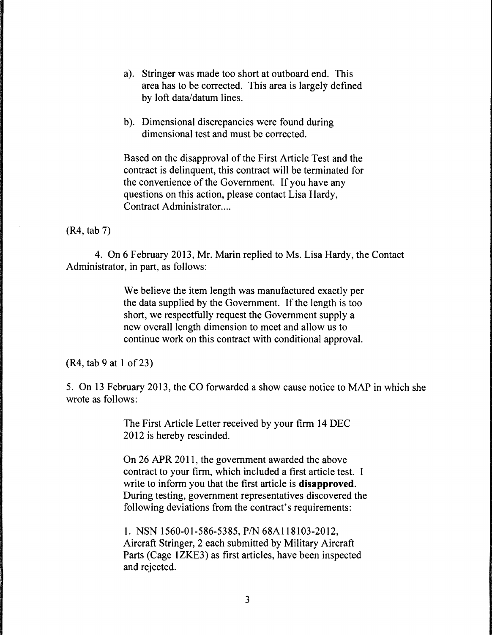- a). Stringer was made too short at outboard end. This area has to be corrected. This area is largely defined by loft data/datum lines.
- b). Dimensional discrepancies were found during dimensional test and must be corrected.

Based on the disapproval of the First Article Test and the contract is delinquent, this contract will be terminated for the convenience of the Government. If you have any questions on this action, please contact Lisa Hardy, Contract Administrator....

(R4, tab 7)

4. On 6 February 2013, Mr. Marin replied to Ms. Lisa Hardy, the Contact Administrator, in part, as follows:

> We believe the item length was manufactured exactly per the data supplied by the Government. If the length is too short, we respectfully request the Government supply a new overall length dimension to meet and allow us to continue work on this contract with conditional approval.

 $(R4, tab 9 at 1 of 23)$ 

5. On 13 February 2013, the CO forwarded a show cause notice to MAP in which she wrote as follows:

> The First Article Letter received by your firm 14 DEC 2012 is hereby rescinded.

On 26 APR 2011, the government awarded the above contract to your firm, which included a first article test. I write to inform you that the first article is **disapproved.**  During testing, government representatives discovered the following deviations from the contract's requirements:

1. NSN 1560-01-586-5385, *PIN* 68Al 18103-2012, Aircraft Stringer, 2 each submitted by Military Aircraft Parts (Cage 1ZKE3) as first articles, have been inspected and rejected.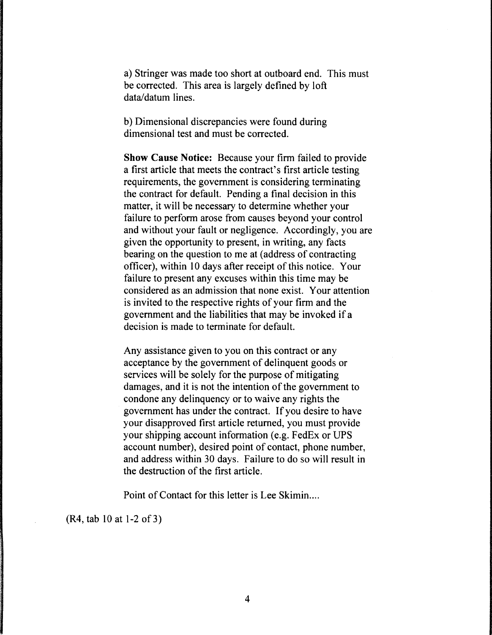a) Stringer was made too short at outboard end. This must be corrected. This area is largely defined by loft data/datum lines.

b) Dimensional discrepancies were found during dimensional test and must be corrected.

**Show Cause Notice:** Because your firm failed to provide a first article that meets the contract's first article testing requirements, the government is considering terminating the contract for default. Pending a final decision in this matter, it will be necessary to determine whether your failure to perform arose from causes beyond your control and without your fault or negligence. Accordingly, you are given the opportunity to present, in writing, any facts bearing on the question to me at (address of contracting officer), within 10 days after receipt of this notice. Your failure to present any excuses within this time may be considered as an admission that none exist. Your attention is invited to the respective rights of your firm and the government and the liabilities that may be invoked if a decision is made to terminate for default.

Any assistance given to you on this contract or any acceptance by the government of delinquent goods or services will be solely for the purpose of mitigating damages, and it is not the intention of the government to condone any delinquency or to waive any rights the government has under the contract. If you desire to have your disapproved first article returned, you must provide your shipping account information (e.g. FedEx or UPS account number), desired point of contact, phone number, and address within 30 days. Failure to do so will result in the destruction of the first article.

Point of Contact for this letter is Lee Skimin....

(R4, tab 10 at 1-2of3)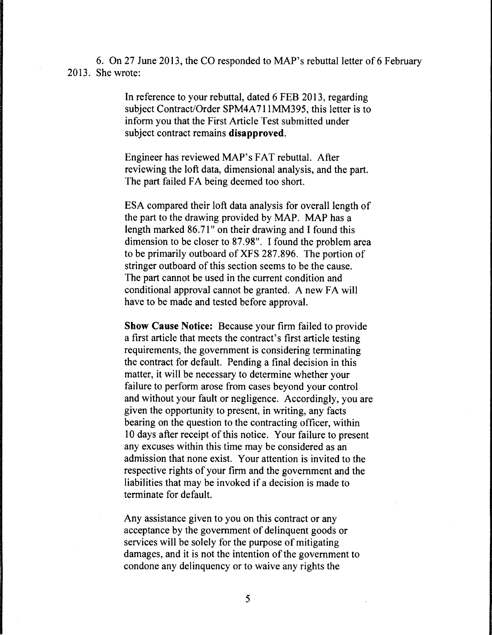6. On 27 June 2013, the CO responded to MAP's rebuttal letter of 6 February 2013. She wrote:

> In reference to your rebuttal, dated 6 FEB 2013, regarding subject Contract/Order SPM4A711MM395, this letter is to inform you that the First Article Test submitted under subject contract remains **disapproved.**

Engineer has reviewed MAP's FAT rebuttal. After reviewing the loft data, dimensional analysis, and the part. The part failed FA being deemed too short.

ESA compared their loft data analysis for overall length of the part to the drawing provided by MAP. MAP has a length marked 86.71" on their drawing and I found this dimension to be closer to 87.98". I found the problem area to be primarily outboard of XFS 287.896. The portion of stringer outboard of this section seems to be the cause. The part cannot be used in the current condition and conditional approval cannot be granted. A new FA will have to be made and tested before approval.

**Show Cause Notice:** Because your firm failed to provide a first article that meets the contract's first article testing requirements, the government is considering terminating the contract for default. Pending a final decision in this matter, it will be necessary to determine whether your failure to perform arose from cases beyond your control and without your fault or negligence. Accordingly, you are given the opportunity to present, in writing, any facts bearing on the question to the contracting officer, within 10 days after receipt of this notice. Your failure to present any excuses within this time may be considered as an admission that none exist. Your attention is invited to the respective rights of your firm and the government and the liabilities that may be invoked if a decision is made to terminate for default.

Any assistance given to you on this contract or any acceptance by the government of delinquent goods or services will be solely for the purpose of mitigating damages, and it is not the intention of the government to condone any delinquency or to waive any rights the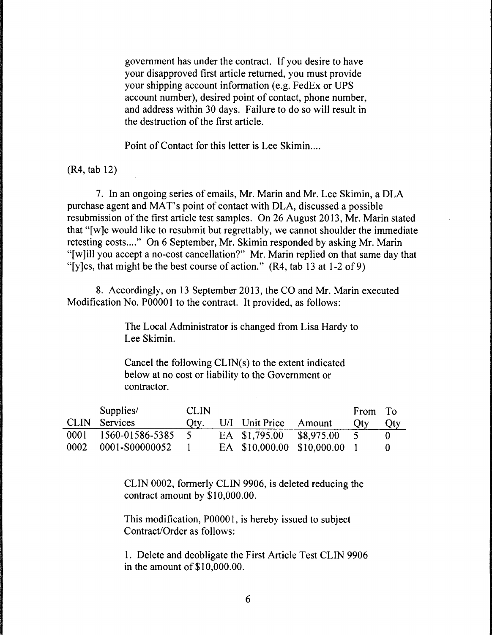government has under the contract. If you desire to have your disapproved first article returned, you must provide your shipping account information (e.g. FedEx or UPS account number), desired point of contact, phone number, and address within 30 days. Failure to do so will result in the destruction of the first article.

Point of Contact for this letter is Lee Skimin....

(R4, tab 12)

7. In an ongoing series of emails, Mr. Marin and Mr. Lee Skimin, a DLA purchase agent and MAT's point of contact with DLA, discussed a possible resubmission of the first article test samples. On 26 August 2013, Mr. Marin stated that "[w]e would like to resubmit but regrettably, we cannot shoulder the immediate retesting costs...." On 6 September, Mr. Skimin responded by asking Mr. Marin "[w]ill you accept a no-cost cancellation?" Mr. Marin replied on that same day that "[y]es, that might be the best course of action."  $(R4, tab 13 at 1-2 of 9)$ 

8. Accordingly, on 13 September 2013, the CO and Mr. Marin executed Modification No. P00001 to the contract. It provided, as follows:

> The Local Administrator is changed from Lisa Hardy to Lee Skimin.

Cancel the following CLIN(s) to the extent indicated below at no cost or liability to the Government or contractor.

|      | Supplies/            | <b>CLIN</b> |                       |                              | From To    |     |
|------|----------------------|-------------|-----------------------|------------------------------|------------|-----|
|      | CLIN Services        | Qty.        | U/I Unit Price Amount |                              | <b>Otv</b> | Qty |
|      | 0001 1560-01586-5385 |             | EA \$1,795.00         | \$8,975.00                   |            |     |
| 0002 | 0001-S00000052       |             |                       | EA \$10,000.00 \$10,000.00 1 |            |     |

CLIN 0002, formerly CLIN 9906, is deleted reducing the contract amount by \$10,000.00.

This modification, POOOO 1, is hereby issued to subject Contract/Order as follows:

1. Delete and deobligate the First Article Test CLIN 9906 in the amount of \$10,000.00.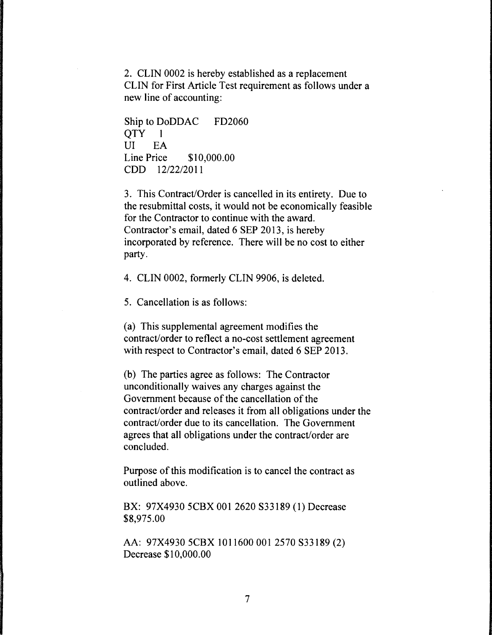2. CLIN 0002 is hereby established as a replacement CLIN for First Article Test requirement as follows under a new line of accounting:

Ship to DoDDAC FD2060 QTY 1 UI EA Line Price \$10,000.00 CDD 12/22/2011

3. This Contract/Order is cancelled in its entirety. Due to the resubmittal costs, it would not be economically feasible for the Contractor to continue with the award. Contractor's email, dated 6 SEP 2013, is hereby incorporated by reference. There will be no cost to either party.

4. CLIN 0002, formerly CLIN 9906, is deleted.

5. Cancellation is as follows:

(a) This supplemental agreement modifies the contract/order to reflect a no-cost settlement agreement with respect to Contractor's email, dated 6 SEP 2013.

(b) The parties agree as follows: The Contractor unconditionally waives any charges against the Government because of the cancellation of the contract/order and releases it from all obligations under the contract/order due to its cancellation. The Government agrees that all obligations under the contract/order are concluded.

Purpose of this modification is to cancel the contract as outlined above.

BX: 97X4930 5CBX 001 2620 S33189 (1) Decrease \$8,975.00

AA: 97X4930 5CBX 1011600 001 2570 S33189 (2) Decrease \$10,000.00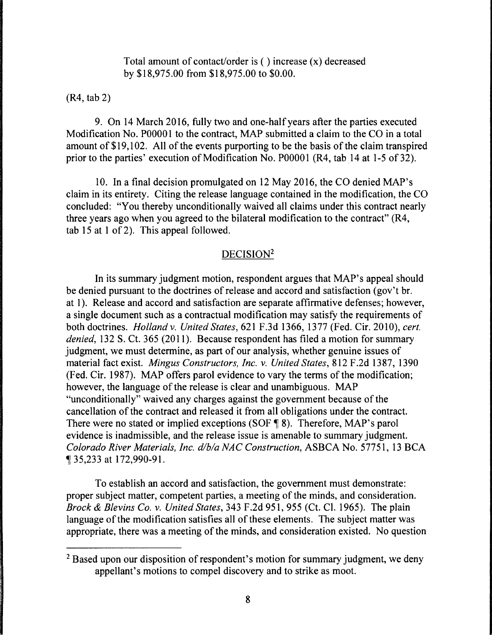Total amount of contact/order is  $($  ) increase  $(x)$  decreased by \$18,975.00 from \$18,975.00 to \$0.00.

(R4, tab 2)

9. On 14 March 2016, fully two and one-half years after the parties executed Modification No. P00001 to the contract, MAP submitted a claim to the CO in a total amount of\$19,102. All of the events purporting to be the basis of the claim transpired prior to the parties' execution of Modification No. P00001 (R4, tab 14 at 1-5 of 32).

10. In a final decision promulgated on 12 May 2016, the CO denied MAP's claim in its entirety. Citing the release language contained in the modification, the CO concluded: "You thereby unconditionally waived all claims under this contract nearly three years ago when you agreed to the bilateral modification to the contract" (R4, tab 15 at 1 of 2). This appeal followed.

# DECISION<sup>2</sup>

In its summary judgment motion, respondent argues that MAP's appeal should be denied pursuant to the doctrines of release and accord and satisfaction (gov't br. at 1). Release and accord and satisfaction are separate affirmative defenses; however, a single document such as a contractual modification may satisfy the requirements of both doctrines. *Holland v. United States,* 621 F.3d 1366, 1377 (Fed. Cir. 2010), *cert. denied,* 132 S. Ct. 365 (2011). Because respondent has filed a motion for summary judgment, we must determine, as part of our analysis, whether genuine issues of material fact exist. *Mingus Constructors, Inc. v. United States,* 812 F .2d 1387, 1390 (Fed. Cir. 1987). MAP offers parol evidence to vary the terms of the modification; however, the language of the release is clear and unambiguous. MAP "unconditionally" waived any charges against the government because of the cancellation of the contract and released it from all obligations under the contract. There were no stated or implied exceptions (SOF  $\P$  8). Therefore, MAP's parol evidence is inadmissible, and the release issue is amenable to summary judgment. *Colorado River Materials, Inc. d/bla NAC Construction,* ASBCA No. 57751, 13 BCA <sup>~</sup>35,233 at 172,990-91.

To establish an accord and satisfaction, the government must demonstrate: proper subject matter, competent parties, a meeting of the minds, and consideration. *Brock* & *Blevins Co. v. United States,* 343 F.2d 951, 955 (Ct. Cl. 1965). The plain language of the modification satisfies all of these elements. The subject matter was appropriate, there was a meeting of the minds, and consideration existed. No question

<sup>&</sup>lt;sup>2</sup> Based upon our disposition of respondent's motion for summary judgment, we deny appellant's motions to compel discovery and to strike as moot.